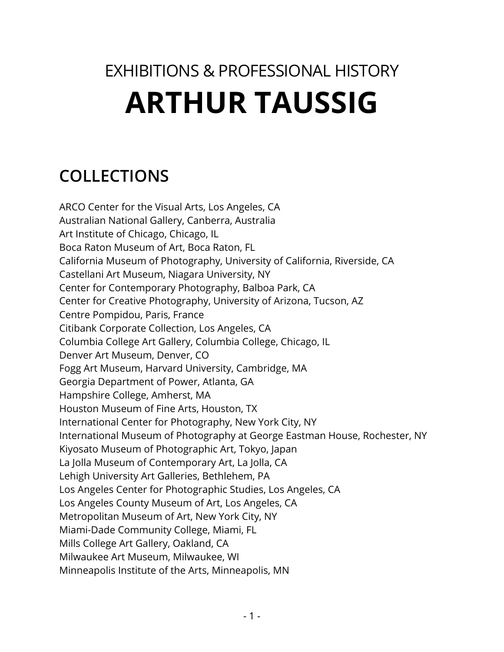# EXHIBITIONS & PROFESSIONAL HISTORY **ARTHUR TAUSSIG**

# **COLLECTIONS**

ARCO Center for the Visual Arts, Los Angeles, CA Australian National Gallery, Canberra, Australia Art Institute of Chicago, Chicago, IL Boca Raton Museum of Art, Boca Raton, FL California Museum of Photography, University of California, Riverside, CA Castellani Art Museum, Niagara University, NY Center for Contemporary Photography, Balboa Park, CA Center for Creative Photography, University of Arizona, Tucson, AZ Centre Pompidou, Paris, France Citibank Corporate Collection, Los Angeles, CA Columbia College Art Gallery, Columbia College, Chicago, IL Denver Art Museum, Denver, CO Fogg Art Museum, Harvard University, Cambridge, MA Georgia Department of Power, Atlanta, GA Hampshire College, Amherst, MA Houston Museum of Fine Arts, Houston, TX International Center for Photography, New York City, NY International Museum of Photography at George Eastman House, Rochester, NY Kiyosato Museum of Photographic Art, Tokyo, Japan La Jolla Museum of Contemporary Art, La Jolla, CA Lehigh University Art Galleries, Bethlehem, PA Los Angeles Center for Photographic Studies, Los Angeles, CA Los Angeles County Museum of Art, Los Angeles, CA Metropolitan Museum of Art, New York City, NY Miami-Dade Community College, Miami, FL Mills College Art Gallery, Oakland, CA Milwaukee Art Museum, Milwaukee, WI Minneapolis Institute of the Arts, Minneapolis, MN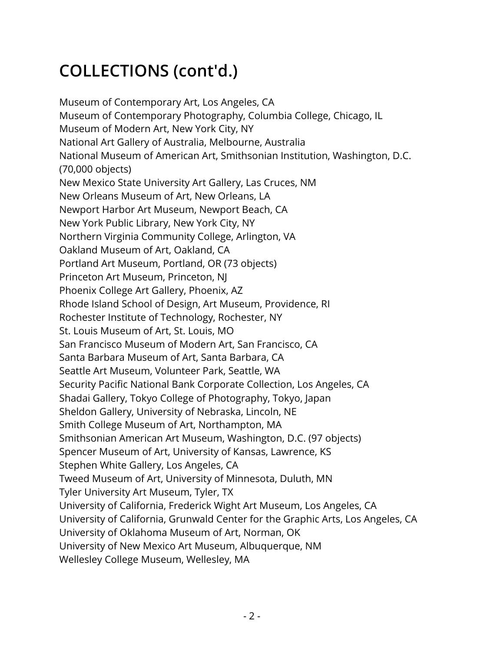# **COLLECTIONS (cont'd.)**

Museum of Contemporary Art, Los Angeles, CA Museum of Contemporary Photography, Columbia College, Chicago, IL Museum of Modern Art, New York City, NY National Art Gallery of Australia, Melbourne, Australia National Museum of American Art, Smithsonian Institution, Washington, D.C. (70,000 objects) New Mexico State University Art Gallery, Las Cruces, NM New Orleans Museum of Art, New Orleans, LA Newport Harbor Art Museum, Newport Beach, CA New York Public Library, New York City, NY Northern Virginia Community College, Arlington, VA Oakland Museum of Art, Oakland, CA Portland Art Museum, Portland, OR (73 objects) Princeton Art Museum, Princeton, NJ Phoenix College Art Gallery, Phoenix, AZ Rhode Island School of Design, Art Museum, Providence, RI Rochester Institute of Technology, Rochester, NY St. Louis Museum of Art, St. Louis, MO San Francisco Museum of Modern Art, San Francisco, CA Santa Barbara Museum of Art, Santa Barbara, CA Seattle Art Museum, Volunteer Park, Seattle, WA Security Pacific National Bank Corporate Collection, Los Angeles, CA Shadai Gallery, Tokyo College of Photography, Tokyo, Japan Sheldon Gallery, University of Nebraska, Lincoln, NE Smith College Museum of Art, Northampton, MA Smithsonian American Art Museum, Washington, D.C. (97 objects) Spencer Museum of Art, University of Kansas, Lawrence, KS Stephen White Gallery, Los Angeles, CA Tweed Museum of Art, University of Minnesota, Duluth, MN Tyler University Art Museum, Tyler, TX University of California, Frederick Wight Art Museum, Los Angeles, CA University of California, Grunwald Center for the Graphic Arts, Los Angeles, CA University of Oklahoma Museum of Art, Norman, OK University of New Mexico Art Museum, Albuquerque, NM Wellesley College Museum, Wellesley, MA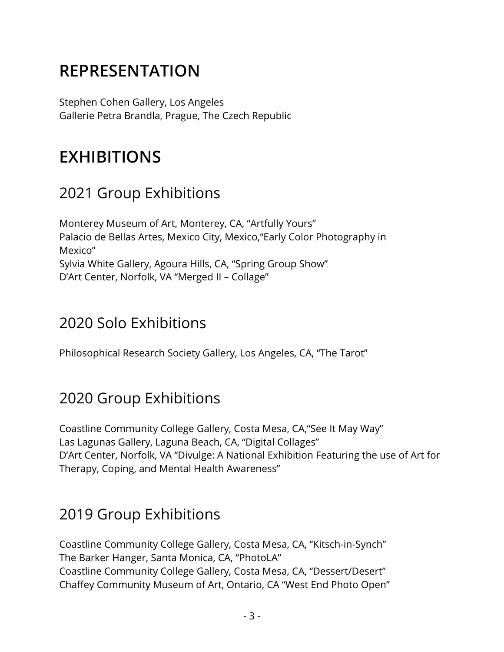# **REPRESENTATION**

Stephen Cohen Gallery, Los Angeles Gallerie Petra Brandla, Prague, The Czech Republic

# **EXHIBITIONS**

### 2021 Group Exhibitions

Monterey Museum of Art, Monterey, CA, "Artfully Yours" Palacio de Bellas Artes, Mexico City, Mexico,"Early Color Photography in Mexico" Sylvia White Gallery, Agoura Hills, CA, "Spring Group Show" D'Art Center, Norfolk, VA "Merged II – Collage"

## 2020 Solo Exhibitions

Philosophical Research Society Gallery, Los Angeles, CA, "The Tarot"

## 2020 Group Exhibitions

Coastline Community College Gallery, Costa Mesa, CA,"See It May Way" Las Lagunas Gallery, Laguna Beach, CA, "Digital Collages" D'Art Center, Norfolk, VA "Divulge: A National Exhibition Featuring the use of Art for Therapy, Coping, and Mental Health Awareness"

### 2019 Group Exhibitions

Coastline Community College Gallery, Costa Mesa, CA, "Kitsch-in-Synch" The Barker Hanger, Santa Monica, CA, "PhotoLA" Coastline Community College Gallery, Costa Mesa, CA, "Dessert/Desert" Chaffey Community Museum of Art, Ontario, CA "West End Photo Open"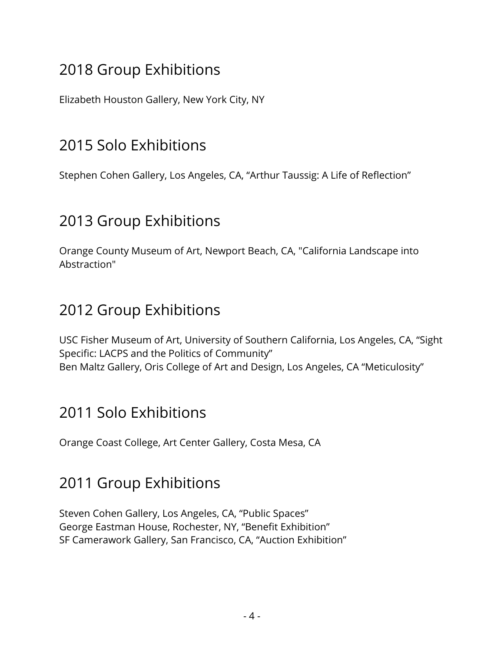Elizabeth Houston Gallery, New York City, NY

## 2015 Solo Exhibitions

Stephen Cohen Gallery, Los Angeles, CA, "Arthur Taussig: A Life of Reflection"

#### 2013 Group Exhibitions

Orange County Museum of Art, Newport Beach, CA, "California Landscape into Abstraction"

#### 2012 Group Exhibitions

USC Fisher Museum of Art, University of Southern California, Los Angeles, CA, "Sight Specific: LACPS and the Politics of Community" Ben Maltz Gallery, Oris College of Art and Design, Los Angeles, CA "Meticulosity"

#### 2011 Solo Exhibitions

Orange Coast College, Art Center Gallery, Costa Mesa, CA

#### 2011 Group Exhibitions

Steven Cohen Gallery, Los Angeles, CA, "Public Spaces" George Eastman House, Rochester, NY, "Benefit Exhibition" SF Camerawork Gallery, San Francisco, CA, "Auction Exhibition"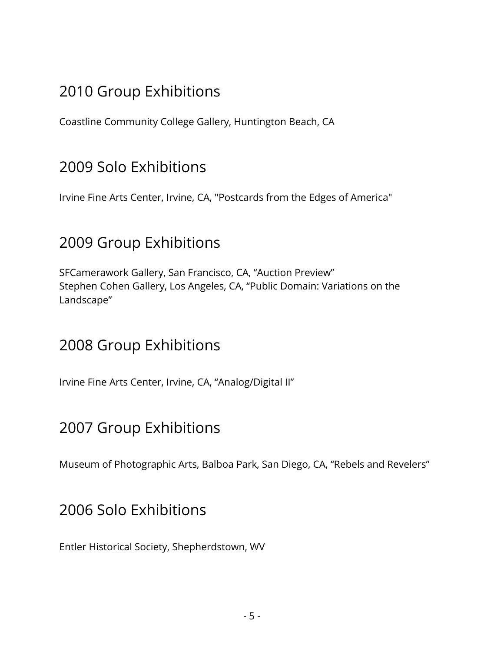Coastline Community College Gallery, Huntington Beach, CA

#### 2009 Solo Exhibitions

Irvine Fine Arts Center, Irvine, CA, "Postcards from the Edges of America"

#### 2009 Group Exhibitions

SFCamerawork Gallery, San Francisco, CA, "Auction Preview" Stephen Cohen Gallery, Los Angeles, CA, "Public Domain: Variations on the Landscape"

#### 2008 Group Exhibitions

Irvine Fine Arts Center, Irvine, CA, "Analog/Digital II"

### 2007 Group Exhibitions

Museum of Photographic Arts, Balboa Park, San Diego, CA, "Rebels and Revelers"

#### 2006 Solo Exhibitions

Entler Historical Society, Shepherdstown, WV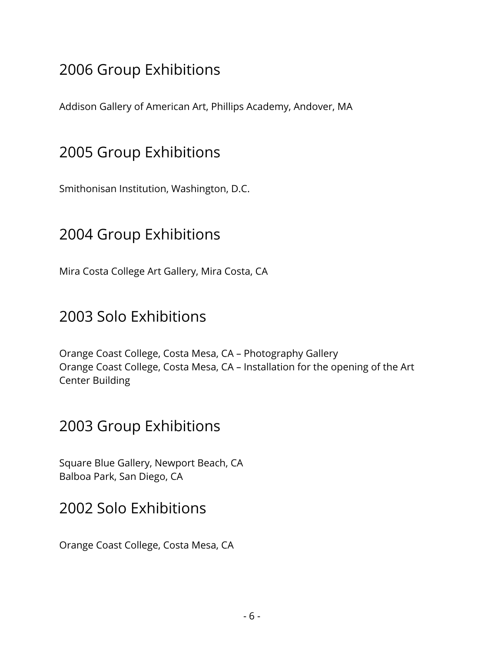Addison Gallery of American Art, Phillips Academy, Andover, MA

### 2005 Group Exhibitions

Smithonisan Institution, Washington, D.C.

#### 2004 Group Exhibitions

Mira Costa College Art Gallery, Mira Costa, CA

#### 2003 Solo Exhibitions

Orange Coast College, Costa Mesa, CA – Photography Gallery Orange Coast College, Costa Mesa, CA – Installation for the opening of the Art Center Building

#### 2003 Group Exhibitions

Square Blue Gallery, Newport Beach, CA Balboa Park, San Diego, CA

#### 2002 Solo Exhibitions

Orange Coast College, Costa Mesa, CA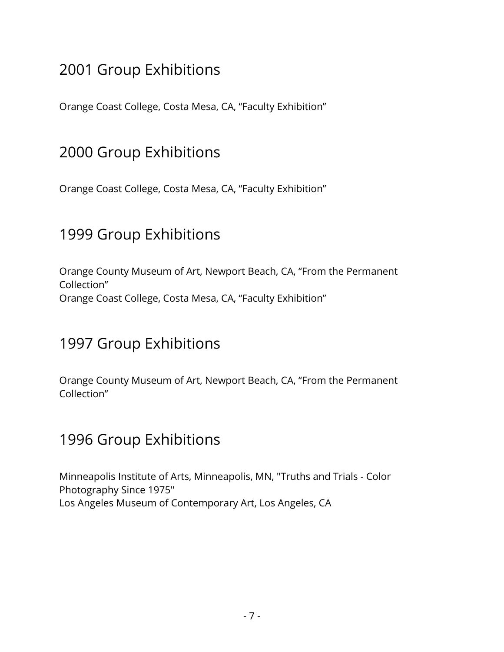Orange Coast College, Costa Mesa, CA, "Faculty Exhibition"

#### 2000 Group Exhibitions

Orange Coast College, Costa Mesa, CA, "Faculty Exhibition"

#### 1999 Group Exhibitions

Orange County Museum of Art, Newport Beach, CA, "From the Permanent Collection" Orange Coast College, Costa Mesa, CA, "Faculty Exhibition"

#### 1997 Group Exhibitions

Orange County Museum of Art, Newport Beach, CA, "From the Permanent Collection"

#### 1996 Group Exhibitions

Minneapolis Institute of Arts, Minneapolis, MN, "Truths and Trials - Color Photography Since 1975" Los Angeles Museum of Contemporary Art, Los Angeles, CA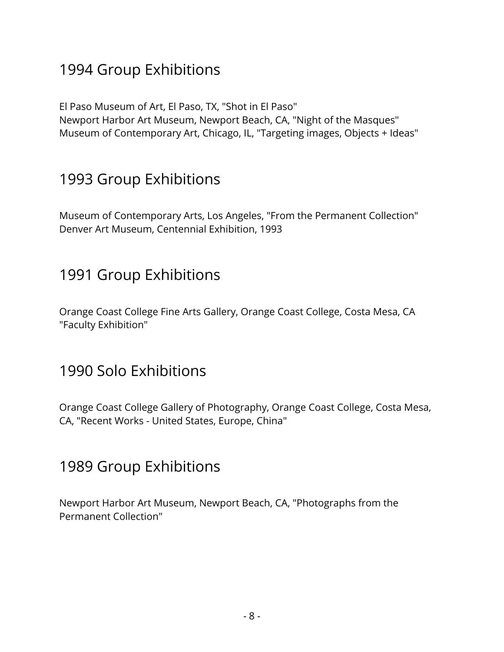El Paso Museum of Art, El Paso, TX, "Shot in El Paso" Newport Harbor Art Museum, Newport Beach, CA, "Night of the Masques" Museum of Contemporary Art, Chicago, IL, "Targeting images, Objects + Ideas"

## 1993 Group Exhibitions

Museum of Contemporary Arts, Los Angeles, "From the Permanent Collection" Denver Art Museum, Centennial Exhibition, 1993

#### 1991 Group Exhibitions

Orange Coast College Fine Arts Gallery, Orange Coast College, Costa Mesa, CA "Faculty Exhibition"

#### 1990 Solo Exhibitions

Orange Coast College Gallery of Photography, Orange Coast College, Costa Mesa, CA, "Recent Works - United States, Europe, China"

#### 1989 Group Exhibitions

Newport Harbor Art Museum, Newport Beach, CA, "Photographs from the Permanent Collection"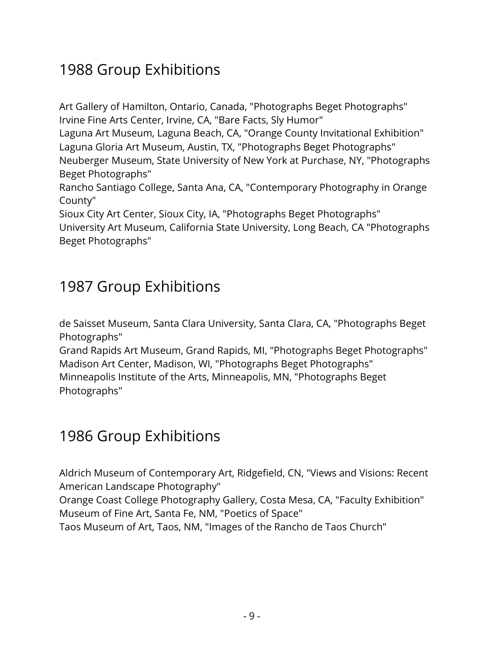Art Gallery of Hamilton, Ontario, Canada, "Photographs Beget Photographs" Irvine Fine Arts Center, Irvine, CA, "Bare Facts, Sly Humor"

Laguna Art Museum, Laguna Beach, CA, "Orange County Invitational Exhibition" Laguna Gloria Art Museum, Austin, TX, "Photographs Beget Photographs"

Neuberger Museum, State University of New York at Purchase, NY, "Photographs Beget Photographs"

Rancho Santiago College, Santa Ana, CA, "Contemporary Photography in Orange County"

Sioux City Art Center, Sioux City, IA, "Photographs Beget Photographs" University Art Museum, California State University, Long Beach, CA "Photographs Beget Photographs"

## 1987 Group Exhibitions

de Saisset Museum, Santa Clara University, Santa Clara, CA, "Photographs Beget Photographs"

Grand Rapids Art Museum, Grand Rapids, MI, "Photographs Beget Photographs" Madison Art Center, Madison, WI, "Photographs Beget Photographs" Minneapolis Institute of the Arts, Minneapolis, MN, "Photographs Beget Photographs"

## 1986 Group Exhibitions

Aldrich Museum of Contemporary Art, Ridgefield, CN, "Views and Visions: Recent American Landscape Photography"

Orange Coast College Photography Gallery, Costa Mesa, CA, "Faculty Exhibition" Museum of Fine Art, Santa Fe, NM, "Poetics of Space"

Taos Museum of Art, Taos, NM, "Images of the Rancho de Taos Church"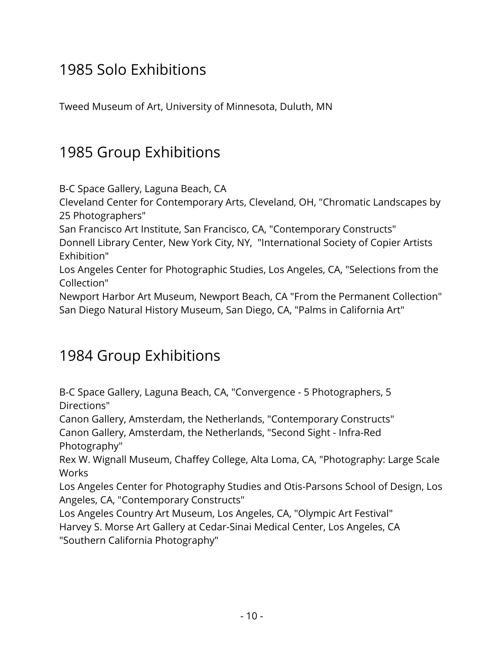## 1985 Solo Exhibitions

Tweed Museum of Art, University of Minnesota, Duluth, MN

## 1985 Group Exhibitions

B-C Space Gallery, Laguna Beach, CA

Cleveland Center for Contemporary Arts, Cleveland, OH, "Chromatic Landscapes by 25 Photographers"

San Francisco Art Institute, San Francisco, CA, "Contemporary Constructs"

Donnell Library Center, New York City, NY, "International Society of Copier Artists Exhibition"

Los Angeles Center for Photographic Studies, Los Angeles, CA, "Selections from the Collection"

Newport Harbor Art Museum, Newport Beach, CA "From the Permanent Collection" San Diego Natural History Museum, San Diego, CA, "Palms in California Art"

### 1984 Group Exhibitions

B-C Space Gallery, Laguna Beach, CA, "Convergence - 5 Photographers, 5 Directions"

Canon Gallery, Amsterdam, the Netherlands, "Contemporary Constructs" Canon Gallery, Amsterdam, the Netherlands, "Second Sight - Infra-Red Photography"

Rex W. Wignall Museum, Chaffey College, Alta Loma, CA, "Photography: Large Scale **Works** 

Los Angeles Center for Photography Studies and Otis-Parsons School of Design, Los Angeles, CA, "Contemporary Constructs"

Los Angeles Country Art Museum, Los Angeles, CA, "Olympic Art Festival"

Harvey S. Morse Art Gallery at Cedar-Sinai Medical Center, Los Angeles, CA "Southern California Photography"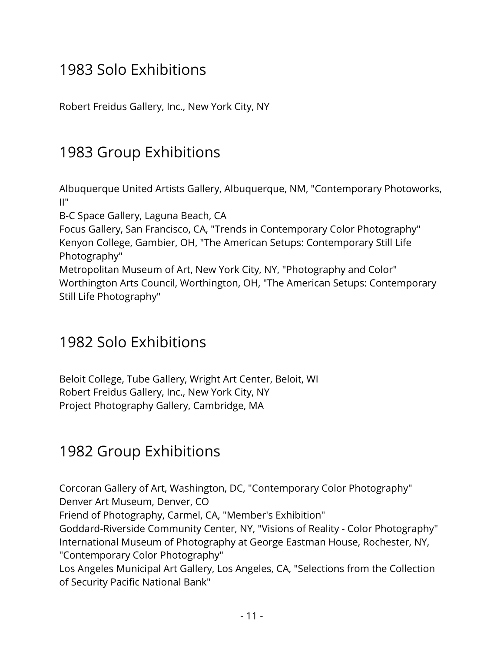## 1983 Solo Exhibitions

Robert Freidus Gallery, Inc., New York City, NY

## 1983 Group Exhibitions

Albuquerque United Artists Gallery, Albuquerque, NM, "Contemporary Photoworks, II"

B-C Space Gallery, Laguna Beach, CA

Focus Gallery, San Francisco, CA, "Trends in Contemporary Color Photography" Kenyon College, Gambier, OH, "The American Setups: Contemporary Still Life Photography"

Metropolitan Museum of Art, New York City, NY, "Photography and Color" Worthington Arts Council, Worthington, OH, "The American Setups: Contemporary Still Life Photography"

#### 1982 Solo Exhibitions

Beloit College, Tube Gallery, Wright Art Center, Beloit, WI Robert Freidus Gallery, Inc., New York City, NY Project Photography Gallery, Cambridge, MA

### 1982 Group Exhibitions

Corcoran Gallery of Art, Washington, DC, "Contemporary Color Photography" Denver Art Museum, Denver, CO

Friend of Photography, Carmel, CA, "Member's Exhibition"

Goddard-Riverside Community Center, NY, "Visions of Reality - Color Photography" International Museum of Photography at George Eastman House, Rochester, NY, "Contemporary Color Photography"

Los Angeles Municipal Art Gallery, Los Angeles, CA, "Selections from the Collection of Security Pacific National Bank"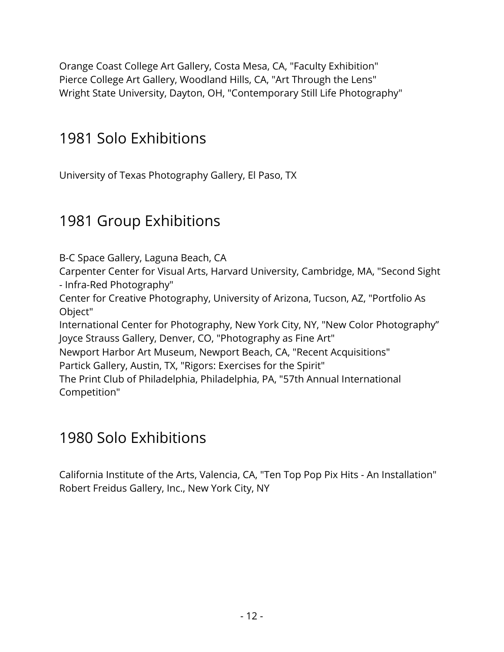Orange Coast College Art Gallery, Costa Mesa, CA, "Faculty Exhibition" Pierce College Art Gallery, Woodland Hills, CA, "Art Through the Lens" Wright State University, Dayton, OH, "Contemporary Still Life Photography"

## 1981 Solo Exhibitions

University of Texas Photography Gallery, El Paso, TX

## 1981 Group Exhibitions

B-C Space Gallery, Laguna Beach, CA

Carpenter Center for Visual Arts, Harvard University, Cambridge, MA, "Second Sight - Infra-Red Photography"

Center for Creative Photography, University of Arizona, Tucson, AZ, "Portfolio As Object"

International Center for Photography, New York City, NY, "New Color Photography" Joyce Strauss Gallery, Denver, CO, "Photography as Fine Art"

Newport Harbor Art Museum, Newport Beach, CA, "Recent Acquisitions"

Partick Gallery, Austin, TX, "Rigors: Exercises for the Spirit"

The Print Club of Philadelphia, Philadelphia, PA, "57th Annual International Competition"

## 1980 Solo Exhibitions

California Institute of the Arts, Valencia, CA, "Ten Top Pop Pix Hits - An Installation" Robert Freidus Gallery, Inc., New York City, NY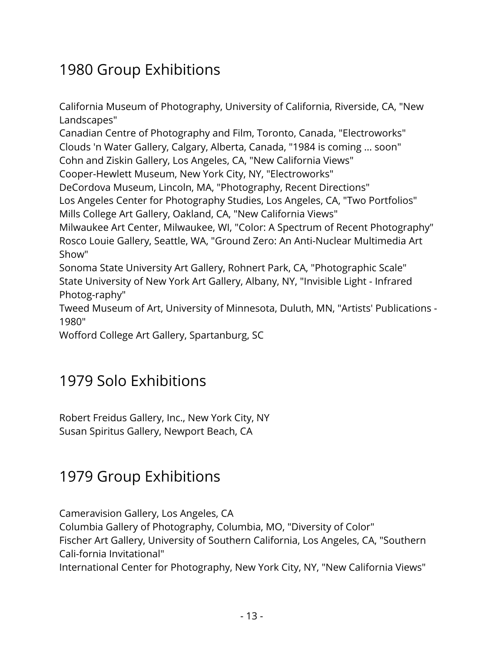California Museum of Photography, University of California, Riverside, CA, "New Landscapes" Canadian Centre of Photography and Film, Toronto, Canada, "Electroworks" Clouds 'n Water Gallery, Calgary, Alberta, Canada, "1984 is coming ... soon" Cohn and Ziskin Gallery, Los Angeles, CA, "New California Views" Cooper-Hewlett Museum, New York City, NY, "Electroworks" DeCordova Museum, Lincoln, MA, "Photography, Recent Directions" Los Angeles Center for Photography Studies, Los Angeles, CA, "Two Portfolios" Mills College Art Gallery, Oakland, CA, "New California Views" Milwaukee Art Center, Milwaukee, WI, "Color: A Spectrum of Recent Photography" Rosco Louie Gallery, Seattle, WA, "Ground Zero: An Anti-Nuclear Multimedia Art Show"

Sonoma State University Art Gallery, Rohnert Park, CA, "Photographic Scale" State University of New York Art Gallery, Albany, NY, "Invisible Light - Infrared Photog-raphy"

Tweed Museum of Art, University of Minnesota, Duluth, MN, "Artists' Publications - 1980"

Wofford College Art Gallery, Spartanburg, SC

### 1979 Solo Exhibitions

Robert Freidus Gallery, Inc., New York City, NY Susan Spiritus Gallery, Newport Beach, CA

### 1979 Group Exhibitions

Cameravision Gallery, Los Angeles, CA Columbia Gallery of Photography, Columbia, MO, "Diversity of Color" Fischer Art Gallery, University of Southern California, Los Angeles, CA, "Southern Cali-fornia Invitational" International Center for Photography, New York City, NY, "New California Views"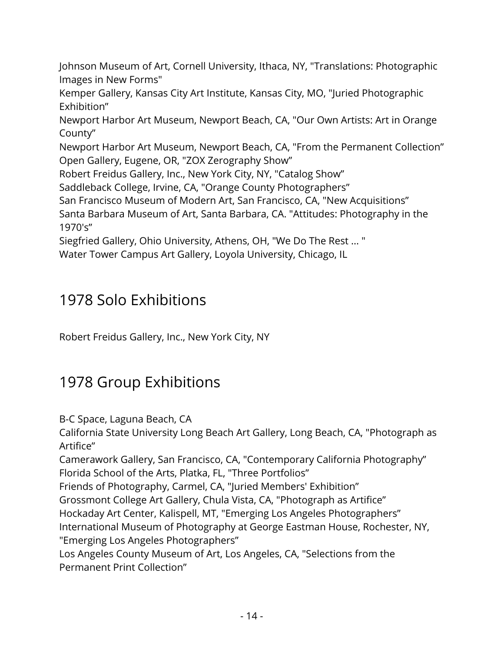Johnson Museum of Art, Cornell University, Ithaca, NY, "Translations: Photographic Images in New Forms"

Kemper Gallery, Kansas City Art Institute, Kansas City, MO, "Juried Photographic Exhibition"

Newport Harbor Art Museum, Newport Beach, CA, "Our Own Artists: Art in Orange County"

Newport Harbor Art Museum, Newport Beach, CA, "From the Permanent Collection" Open Gallery, Eugene, OR, "ZOX Zerography Show"

Robert Freidus Gallery, Inc., New York City, NY, "Catalog Show"

Saddleback College, Irvine, CA, "Orange County Photographers"

San Francisco Museum of Modern Art, San Francisco, CA, "New Acquisitions"

Santa Barbara Museum of Art, Santa Barbara, CA. "Attitudes: Photography in the 1970's"

Siegfried Gallery, Ohio University, Athens, OH, "We Do The Rest ... "

Water Tower Campus Art Gallery, Loyola University, Chicago, IL

#### 1978 Solo Exhibitions

Robert Freidus Gallery, Inc., New York City, NY

## 1978 Group Exhibitions

B-C Space, Laguna Beach, CA

California State University Long Beach Art Gallery, Long Beach, CA, "Photograph as Artifice"

Camerawork Gallery, San Francisco, CA, "Contemporary California Photography" Florida School of the Arts, Platka, FL, "Three Portfolios"

Friends of Photography, Carmel, CA, "Juried Members' Exhibition"

Grossmont College Art Gallery, Chula Vista, CA, "Photograph as Artifice"

Hockaday Art Center, Kalispell, MT, "Emerging Los Angeles Photographers"

International Museum of Photography at George Eastman House, Rochester, NY, "Emerging Los Angeles Photographers"

Los Angeles County Museum of Art, Los Angeles, CA, "Selections from the Permanent Print Collection"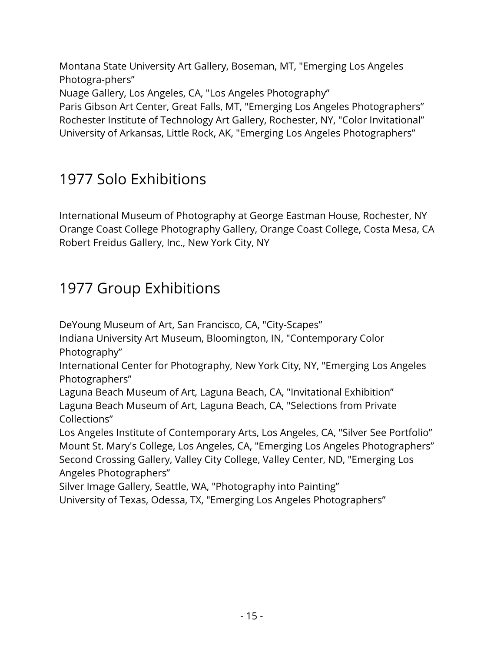Montana State University Art Gallery, Boseman, MT, "Emerging Los Angeles Photogra-phers"

Nuage Gallery, Los Angeles, CA, "Los Angeles Photography"

Paris Gibson Art Center, Great Falls, MT, "Emerging Los Angeles Photographers" Rochester Institute of Technology Art Gallery, Rochester, NY, "Color Invitational" University of Arkansas, Little Rock, AK, "Emerging Los Angeles Photographers"

## 1977 Solo Exhibitions

International Museum of Photography at George Eastman House, Rochester, NY Orange Coast College Photography Gallery, Orange Coast College, Costa Mesa, CA Robert Freidus Gallery, Inc., New York City, NY

## 1977 Group Exhibitions

DeYoung Museum of Art, San Francisco, CA, "City-Scapes"

Indiana University Art Museum, Bloomington, IN, "Contemporary Color Photography"

International Center for Photography, New York City, NY, "Emerging Los Angeles Photographers"

Laguna Beach Museum of Art, Laguna Beach, CA, "Invitational Exhibition" Laguna Beach Museum of Art, Laguna Beach, CA, "Selections from Private Collections"

Los Angeles Institute of Contemporary Arts, Los Angeles, CA, "Silver See Portfolio" Mount St. Mary's College, Los Angeles, CA, "Emerging Los Angeles Photographers" Second Crossing Gallery, Valley City College, Valley Center, ND, "Emerging Los Angeles Photographers"

Silver Image Gallery, Seattle, WA, "Photography into Painting"

University of Texas, Odessa, TX, "Emerging Los Angeles Photographers"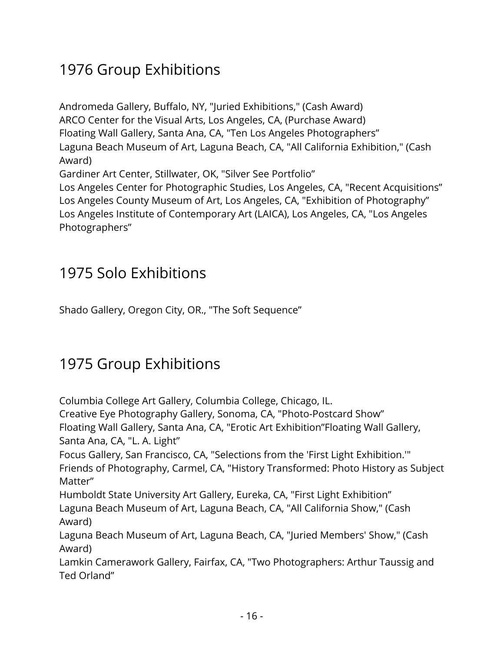Andromeda Gallery, Buffalo, NY, "Juried Exhibitions," (Cash Award) ARCO Center for the Visual Arts, Los Angeles, CA, (Purchase Award) Floating Wall Gallery, Santa Ana, CA, "Ten Los Angeles Photographers" Laguna Beach Museum of Art, Laguna Beach, CA, "All California Exhibition," (Cash Award) Gardiner Art Center, Stillwater, OK, "Silver See Portfolio" Los Angeles Center for Photographic Studies, Los Angeles, CA, "Recent Acquisitions" Los Angeles County Museum of Art, Los Angeles, CA, "Exhibition of Photography" Los Angeles Institute of Contemporary Art (LAICA), Los Angeles, CA, "Los Angeles Photographers"

#### 1975 Solo Exhibitions

Shado Gallery, Oregon City, OR., "The Soft Sequence"

## 1975 Group Exhibitions

Columbia College Art Gallery, Columbia College, Chicago, IL. Creative Eye Photography Gallery, Sonoma, CA, "Photo-Postcard Show" Floating Wall Gallery, Santa Ana, CA, "Erotic Art Exhibition"Floating Wall Gallery, Santa Ana, CA, "L. A. Light" Focus Gallery, San Francisco, CA, "Selections from the 'First Light Exhibition.'" Friends of Photography, Carmel, CA, "History Transformed: Photo History as Subject Matter" Humboldt State University Art Gallery, Eureka, CA, "First Light Exhibition" Laguna Beach Museum of Art, Laguna Beach, CA, "All California Show," (Cash Award) Laguna Beach Museum of Art, Laguna Beach, CA, "Juried Members' Show," (Cash Award) Lamkin Camerawork Gallery, Fairfax, CA, "Two Photographers: Arthur Taussig and Ted Orland"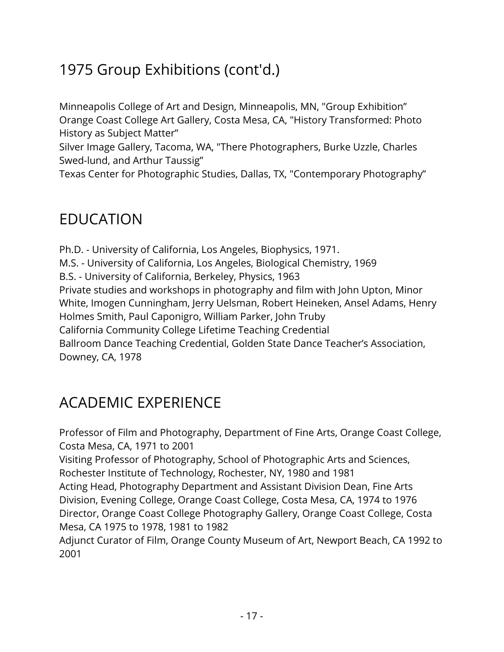## 1975 Group Exhibitions (cont'd.)

Minneapolis College of Art and Design, Minneapolis, MN, "Group Exhibition" Orange Coast College Art Gallery, Costa Mesa, CA, "History Transformed: Photo History as Subject Matter"

Silver Image Gallery, Tacoma, WA, "There Photographers, Burke Uzzle, Charles Swed-lund, and Arthur Taussig"

Texas Center for Photographic Studies, Dallas, TX, "Contemporary Photography"

#### EDUCATION

Ph.D. - University of California, Los Angeles, Biophysics, 1971. M.S. - University of California, Los Angeles, Biological Chemistry, 1969 B.S. - University of California, Berkeley, Physics, 1963 Private studies and workshops in photography and film with John Upton, Minor White, Imogen Cunningham, Jerry Uelsman, Robert Heineken, Ansel Adams, Henry Holmes Smith, Paul Caponigro, William Parker, John Truby California Community College Lifetime Teaching Credential Ballroom Dance Teaching Credential, Golden State Dance Teacher's Association, Downey, CA, 1978

# ACADEMIC EXPERIENCE

Professor of Film and Photography, Department of Fine Arts, Orange Coast College, Costa Mesa, CA, 1971 to 2001

Visiting Professor of Photography, School of Photographic Arts and Sciences, Rochester Institute of Technology, Rochester, NY, 1980 and 1981

Acting Head, Photography Department and Assistant Division Dean, Fine Arts Division, Evening College, Orange Coast College, Costa Mesa, CA, 1974 to 1976 Director, Orange Coast College Photography Gallery, Orange Coast College, Costa Mesa, CA 1975 to 1978, 1981 to 1982

Adjunct Curator of Film, Orange County Museum of Art, Newport Beach, CA 1992 to 2001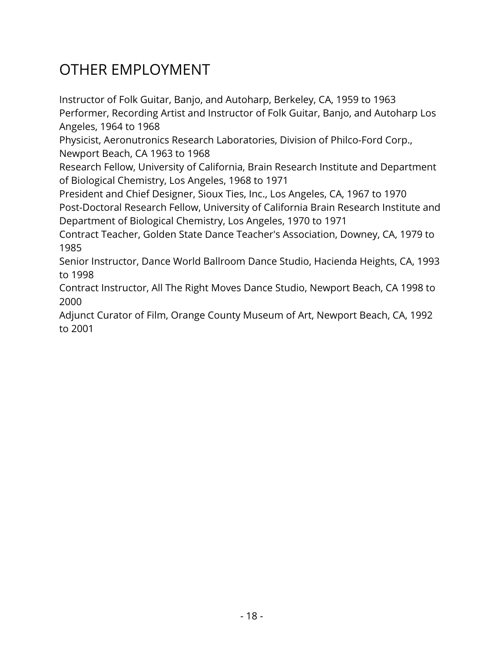# OTHER EMPLOYMENT

Instructor of Folk Guitar, Banjo, and Autoharp, Berkeley, CA, 1959 to 1963 Performer, Recording Artist and Instructor of Folk Guitar, Banjo, and Autoharp Los Angeles, 1964 to 1968

Physicist, Aeronutronics Research Laboratories, Division of Philco-Ford Corp., Newport Beach, CA 1963 to 1968

Research Fellow, University of California, Brain Research Institute and Department of Biological Chemistry, Los Angeles, 1968 to 1971

President and Chief Designer, Sioux Ties, Inc., Los Angeles, CA, 1967 to 1970 Post-Doctoral Research Fellow, University of California Brain Research Institute and Department of Biological Chemistry, Los Angeles, 1970 to 1971

Contract Teacher, Golden State Dance Teacher's Association, Downey, CA, 1979 to 1985

Senior Instructor, Dance World Ballroom Dance Studio, Hacienda Heights, CA, 1993 to 1998

Contract Instructor, All The Right Moves Dance Studio, Newport Beach, CA 1998 to 2000

Adjunct Curator of Film, Orange County Museum of Art, Newport Beach, CA, 1992 to 2001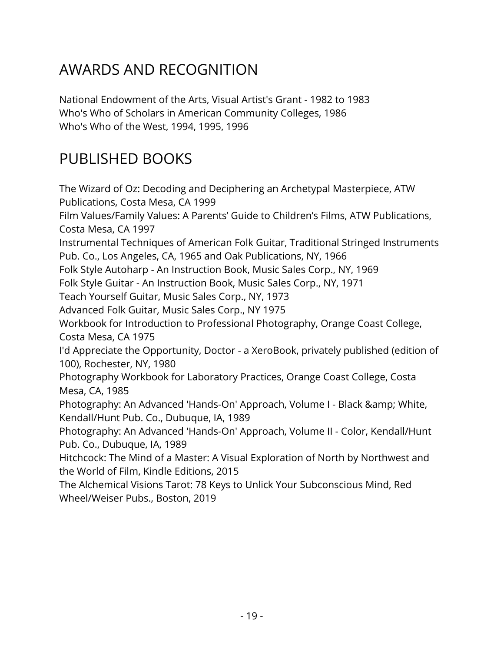# AWARDS AND RECOGNITION

National Endowment of the Arts, Visual Artist's Grant - 1982 to 1983 Who's Who of Scholars in American Community Colleges, 1986 Who's Who of the West, 1994, 1995, 1996

## PUBLISHED BOOKS

The Wizard of Oz: Decoding and Deciphering an Archetypal Masterpiece, ATW Publications, Costa Mesa, CA 1999 Film Values/Family Values: A Parents' Guide to Children's Films, ATW Publications, Costa Mesa, CA 1997 Instrumental Techniques of American Folk Guitar, Traditional Stringed Instruments Pub. Co., Los Angeles, CA, 1965 and Oak Publications, NY, 1966 Folk Style Autoharp - An Instruction Book, Music Sales Corp., NY, 1969 Folk Style Guitar - An Instruction Book, Music Sales Corp., NY, 1971 Teach Yourself Guitar, Music Sales Corp., NY, 1973 Advanced Folk Guitar, Music Sales Corp., NY 1975 Workbook for Introduction to Professional Photography, Orange Coast College, Costa Mesa, CA 1975 I'd Appreciate the Opportunity, Doctor - a XeroBook, privately published (edition of 100), Rochester, NY, 1980 Photography Workbook for Laboratory Practices, Orange Coast College, Costa Mesa, CA, 1985 Photography: An Advanced 'Hands-On' Approach, Volume I - Black & amp; White, Kendall/Hunt Pub. Co., Dubuque, IA, 1989 Photography: An Advanced 'Hands-On' Approach, Volume II - Color, Kendall/Hunt Pub. Co., Dubuque, IA, 1989 Hitchcock: The Mind of a Master: A Visual Exploration of North by Northwest and the World of Film, Kindle Editions, 2015 The Alchemical Visions Tarot: 78 Keys to Unlick Your Subconscious Mind, Red Wheel/Weiser Pubs., Boston, 2019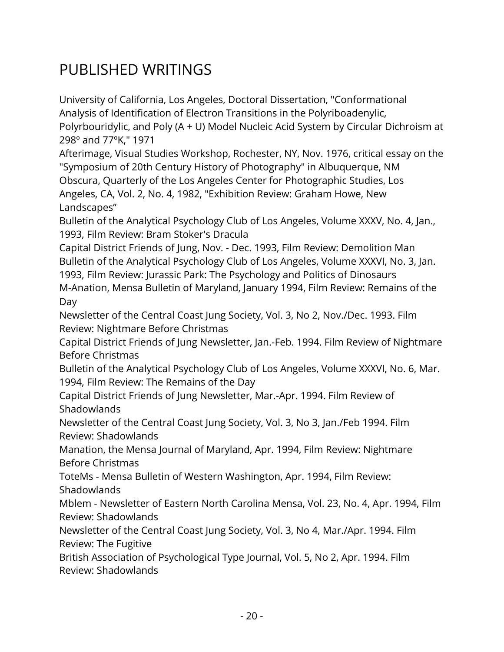## PUBLISHED WRITINGS

University of California, Los Angeles, Doctoral Dissertation, "Conformational Analysis of Identification of Electron Transitions in the Polyriboadenylic, Polyrbouridylic, and Poly (A + U) Model Nucleic Acid System by Circular Dichroism at 298º and 77ºK," 1971

Afterimage, Visual Studies Workshop, Rochester, NY, Nov. 1976, critical essay on the "Symposium of 20th Century History of Photography" in Albuquerque, NM Obscura, Quarterly of the Los Angeles Center for Photographic Studies, Los Angeles, CA, Vol. 2, No. 4, 1982, "Exhibition Review: Graham Howe, New Landscapes"

Bulletin of the Analytical Psychology Club of Los Angeles, Volume XXXV, No. 4, Jan., 1993, Film Review: Bram Stoker's Dracula

Capital District Friends of Jung, Nov. - Dec. 1993, Film Review: Demolition Man Bulletin of the Analytical Psychology Club of Los Angeles, Volume XXXVI, No. 3, Jan. 1993, Film Review: Jurassic Park: The Psychology and Politics of Dinosaurs M-Anation, Mensa Bulletin of Maryland, January 1994, Film Review: Remains of the Day

Newsletter of the Central Coast Jung Society, Vol. 3, No 2, Nov./Dec. 1993. Film Review: Nightmare Before Christmas

Capital District Friends of Jung Newsletter, Jan.-Feb. 1994. Film Review of Nightmare Before Christmas

Bulletin of the Analytical Psychology Club of Los Angeles, Volume XXXVI, No. 6, Mar. 1994, Film Review: The Remains of the Day

Capital District Friends of Jung Newsletter, Mar.-Apr. 1994. Film Review of **Shadowlands** 

Newsletter of the Central Coast Jung Society, Vol. 3, No 3, Jan./Feb 1994. Film Review: Shadowlands

Manation, the Mensa Journal of Maryland, Apr. 1994, Film Review: Nightmare Before Christmas

ToteMs - Mensa Bulletin of Western Washington, Apr. 1994, Film Review: Shadowlands

Mblem - Newsletter of Eastern North Carolina Mensa, Vol. 23, No. 4, Apr. 1994, Film Review: Shadowlands

Newsletter of the Central Coast Jung Society, Vol. 3, No 4, Mar./Apr. 1994. Film Review: The Fugitive

British Association of Psychological Type Journal, Vol. 5, No 2, Apr. 1994. Film Review: Shadowlands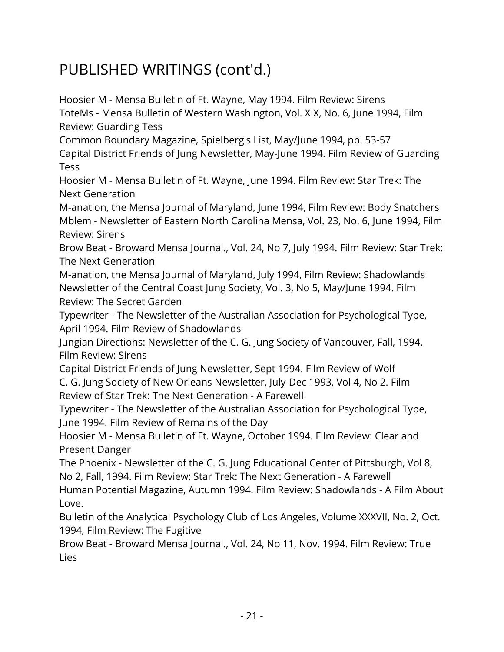Hoosier M - Mensa Bulletin of Ft. Wayne, May 1994. Film Review: Sirens ToteMs - Mensa Bulletin of Western Washington, Vol. XIX, No. 6, June 1994, Film Review: Guarding Tess

Common Boundary Magazine, Spielberg's List, May/June 1994, pp. 53-57 Capital District Friends of Jung Newsletter, May-June 1994. Film Review of Guarding Tess

Hoosier M - Mensa Bulletin of Ft. Wayne, June 1994. Film Review: Star Trek: The Next Generation

M-anation, the Mensa Journal of Maryland, June 1994, Film Review: Body Snatchers Mblem - Newsletter of Eastern North Carolina Mensa, Vol. 23, No. 6, June 1994, Film Review: Sirens

Brow Beat - Broward Mensa Journal., Vol. 24, No 7, July 1994. Film Review: Star Trek: The Next Generation

M-anation, the Mensa Journal of Maryland, July 1994, Film Review: Shadowlands Newsletter of the Central Coast Jung Society, Vol. 3, No 5, May/June 1994. Film Review: The Secret Garden

Typewriter - The Newsletter of the Australian Association for Psychological Type, April 1994. Film Review of Shadowlands

Jungian Directions: Newsletter of the C. G. Jung Society of Vancouver, Fall, 1994. Film Review: Sirens

Capital District Friends of Jung Newsletter, Sept 1994. Film Review of Wolf C. G. Jung Society of New Orleans Newsletter, July-Dec 1993, Vol 4, No 2. Film Review of Star Trek: The Next Generation - A Farewell

Typewriter - The Newsletter of the Australian Association for Psychological Type, June 1994. Film Review of Remains of the Day

Hoosier M - Mensa Bulletin of Ft. Wayne, October 1994. Film Review: Clear and Present Danger

The Phoenix - Newsletter of the C. G. Jung Educational Center of Pittsburgh, Vol 8, No 2, Fall, 1994. Film Review: Star Trek: The Next Generation - A Farewell Human Potential Magazine, Autumn 1994. Film Review: Shadowlands - A Film About Love.

Bulletin of the Analytical Psychology Club of Los Angeles, Volume XXXVII, No. 2, Oct. 1994, Film Review: The Fugitive

Brow Beat - Broward Mensa Journal., Vol. 24, No 11, Nov. 1994. Film Review: True Lies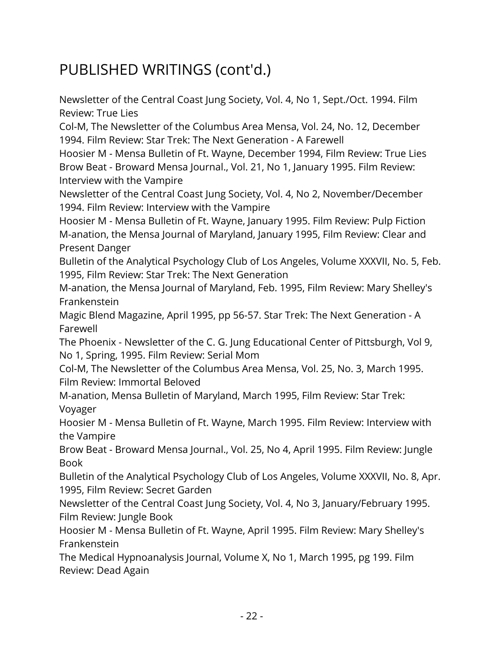Newsletter of the Central Coast Jung Society, Vol. 4, No 1, Sept./Oct. 1994. Film Review: True Lies

Col-M, The Newsletter of the Columbus Area Mensa, Vol. 24, No. 12, December 1994. Film Review: Star Trek: The Next Generation - A Farewell

Hoosier M - Mensa Bulletin of Ft. Wayne, December 1994, Film Review: True Lies Brow Beat - Broward Mensa Journal., Vol. 21, No 1, January 1995. Film Review: Interview with the Vampire

Newsletter of the Central Coast Jung Society, Vol. 4, No 2, November/December 1994. Film Review: Interview with the Vampire

Hoosier M - Mensa Bulletin of Ft. Wayne, January 1995. Film Review: Pulp Fiction M-anation, the Mensa Journal of Maryland, January 1995, Film Review: Clear and Present Danger

Bulletin of the Analytical Psychology Club of Los Angeles, Volume XXXVII, No. 5, Feb. 1995, Film Review: Star Trek: The Next Generation

M-anation, the Mensa Journal of Maryland, Feb. 1995, Film Review: Mary Shelley's Frankenstein

Magic Blend Magazine, April 1995, pp 56-57. Star Trek: The Next Generation - A Farewell

The Phoenix - Newsletter of the C. G. Jung Educational Center of Pittsburgh, Vol 9, No 1, Spring, 1995. Film Review: Serial Mom

Col-M, The Newsletter of the Columbus Area Mensa, Vol. 25, No. 3, March 1995. Film Review: Immortal Beloved

M-anation, Mensa Bulletin of Maryland, March 1995, Film Review: Star Trek: Voyager

Hoosier M - Mensa Bulletin of Ft. Wayne, March 1995. Film Review: Interview with the Vampire

Brow Beat - Broward Mensa Journal., Vol. 25, No 4, April 1995. Film Review: Jungle Book

Bulletin of the Analytical Psychology Club of Los Angeles, Volume XXXVII, No. 8, Apr. 1995, Film Review: Secret Garden

Newsletter of the Central Coast Jung Society, Vol. 4, No 3, January/February 1995. Film Review: Jungle Book

Hoosier M - Mensa Bulletin of Ft. Wayne, April 1995. Film Review: Mary Shelley's Frankenstein

The Medical Hypnoanalysis Journal, Volume X, No 1, March 1995, pg 199. Film Review: Dead Again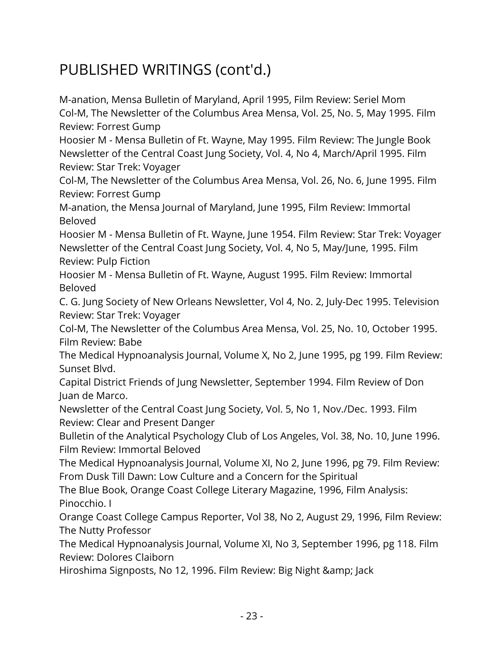M-anation, Mensa Bulletin of Maryland, April 1995, Film Review: Seriel Mom Col-M, The Newsletter of the Columbus Area Mensa, Vol. 25, No. 5, May 1995. Film Review: Forrest Gump Hoosier M - Mensa Bulletin of Ft. Wayne, May 1995. Film Review: The Jungle Book Newsletter of the Central Coast Jung Society, Vol. 4, No 4, March/April 1995. Film Review: Star Trek: Voyager Col-M, The Newsletter of the Columbus Area Mensa, Vol. 26, No. 6, June 1995. Film Review: Forrest Gump M-anation, the Mensa Journal of Maryland, June 1995, Film Review: Immortal Beloved Hoosier M - Mensa Bulletin of Ft. Wayne, June 1954. Film Review: Star Trek: Voyager Newsletter of the Central Coast Jung Society, Vol. 4, No 5, May/June, 1995. Film Review: Pulp Fiction Hoosier M - Mensa Bulletin of Ft. Wayne, August 1995. Film Review: Immortal Beloved C. G. Jung Society of New Orleans Newsletter, Vol 4, No. 2, July-Dec 1995. Television Review: Star Trek: Voyager Col-M, The Newsletter of the Columbus Area Mensa, Vol. 25, No. 10, October 1995. Film Review: Babe The Medical Hypnoanalysis Journal, Volume X, No 2, June 1995, pg 199. Film Review: Sunset Blvd. Capital District Friends of Jung Newsletter, September 1994. Film Review of Don Juan de Marco. Newsletter of the Central Coast Jung Society, Vol. 5, No 1, Nov./Dec. 1993. Film Review: Clear and Present Danger Bulletin of the Analytical Psychology Club of Los Angeles, Vol. 38, No. 10, June 1996. Film Review: Immortal Beloved The Medical Hypnoanalysis Journal, Volume XI, No 2, June 1996, pg 79. Film Review: From Dusk Till Dawn: Low Culture and a Concern for the Spiritual The Blue Book, Orange Coast College Literary Magazine, 1996, Film Analysis: Pinocchio. I

Orange Coast College Campus Reporter, Vol 38, No 2, August 29, 1996, Film Review: The Nutty Professor

The Medical Hypnoanalysis Journal, Volume XI, No 3, September 1996, pg 118. Film Review: Dolores Claiborn

Hiroshima Signposts, No 12, 1996. Film Review: Big Night & amp; Jack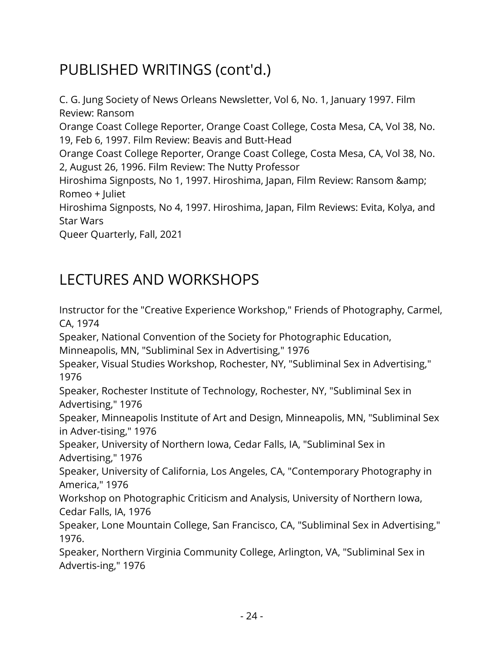C. G. Jung Society of News Orleans Newsletter, Vol 6, No. 1, January 1997. Film Review: Ransom Orange Coast College Reporter, Orange Coast College, Costa Mesa, CA, Vol 38, No. 19, Feb 6, 1997. Film Review: Beavis and Butt-Head Orange Coast College Reporter, Orange Coast College, Costa Mesa, CA, Vol 38, No. 2, August 26, 1996. Film Review: The Nutty Professor Hiroshima Signposts, No 1, 1997. Hiroshima, Japan, Film Review: Ransom & Romeo + Juliet Hiroshima Signposts, No 4, 1997. Hiroshima, Japan, Film Reviews: Evita, Kolya, and Star Wars Queer Quarterly, Fall, 2021

## LECTURES AND WORKSHOPS

Instructor for the "Creative Experience Workshop," Friends of Photography, Carmel, CA, 1974

Speaker, National Convention of the Society for Photographic Education,

Minneapolis, MN, "Subliminal Sex in Advertising," 1976

Speaker, Visual Studies Workshop, Rochester, NY, "Subliminal Sex in Advertising," 1976

Speaker, Rochester Institute of Technology, Rochester, NY, "Subliminal Sex in Advertising," 1976

Speaker, Minneapolis Institute of Art and Design, Minneapolis, MN, "Subliminal Sex in Adver-tising," 1976

Speaker, University of Northern Iowa, Cedar Falls, IA, "Subliminal Sex in Advertising," 1976

Speaker, University of California, Los Angeles, CA, "Contemporary Photography in America," 1976

Workshop on Photographic Criticism and Analysis, University of Northern Iowa, Cedar Falls, IA, 1976

Speaker, Lone Mountain College, San Francisco, CA, "Subliminal Sex in Advertising," 1976.

Speaker, Northern Virginia Community College, Arlington, VA, "Subliminal Sex in Advertis-ing," 1976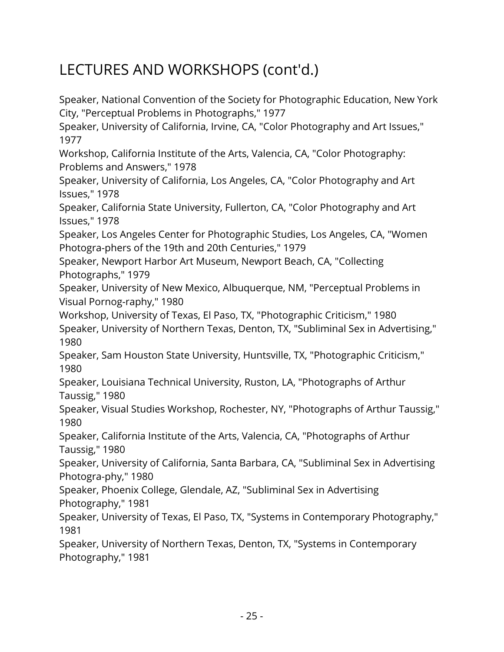Speaker, National Convention of the Society for Photographic Education, New York City, "Perceptual Problems in Photographs," 1977 Speaker, University of California, Irvine, CA, "Color Photography and Art Issues," 1977 Workshop, California Institute of the Arts, Valencia, CA, "Color Photography: Problems and Answers," 1978 Speaker, University of California, Los Angeles, CA, "Color Photography and Art Issues," 1978 Speaker, California State University, Fullerton, CA, "Color Photography and Art Issues," 1978 Speaker, Los Angeles Center for Photographic Studies, Los Angeles, CA, "Women Photogra-phers of the 19th and 20th Centuries," 1979 Speaker, Newport Harbor Art Museum, Newport Beach, CA, "Collecting Photographs," 1979 Speaker, University of New Mexico, Albuquerque, NM, "Perceptual Problems in Visual Pornog-raphy," 1980 Workshop, University of Texas, El Paso, TX, "Photographic Criticism," 1980 Speaker, University of Northern Texas, Denton, TX, "Subliminal Sex in Advertising," 1980 Speaker, Sam Houston State University, Huntsville, TX, "Photographic Criticism," 1980 Speaker, Louisiana Technical University, Ruston, LA, "Photographs of Arthur Taussig," 1980 Speaker, Visual Studies Workshop, Rochester, NY, "Photographs of Arthur Taussig," 1980 Speaker, California Institute of the Arts, Valencia, CA, "Photographs of Arthur Taussig," 1980 Speaker, University of California, Santa Barbara, CA, "Subliminal Sex in Advertising Photogra-phy," 1980 Speaker, Phoenix College, Glendale, AZ, "Subliminal Sex in Advertising Photography," 1981 Speaker, University of Texas, El Paso, TX, "Systems in Contemporary Photography," 1981 Speaker, University of Northern Texas, Denton, TX, "Systems in Contemporary

Photography," 1981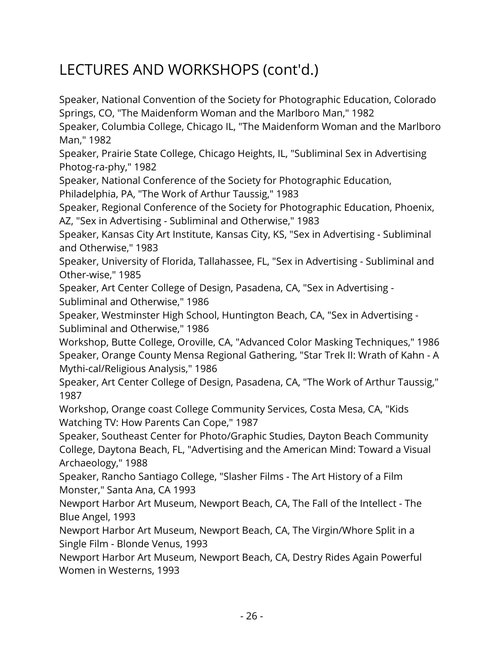Speaker, National Convention of the Society for Photographic Education, Colorado Springs, CO, "The Maidenform Woman and the Marlboro Man," 1982 Speaker, Columbia College, Chicago IL, "The Maidenform Woman and the Marlboro Man," 1982 Speaker, Prairie State College, Chicago Heights, IL, "Subliminal Sex in Advertising Photog-ra-phy," 1982 Speaker, National Conference of the Society for Photographic Education, Philadelphia, PA, "The Work of Arthur Taussig," 1983 Speaker, Regional Conference of the Society for Photographic Education, Phoenix, AZ, "Sex in Advertising - Subliminal and Otherwise," 1983 Speaker, Kansas City Art Institute, Kansas City, KS, "Sex in Advertising - Subliminal and Otherwise," 1983 Speaker, University of Florida, Tallahassee, FL, "Sex in Advertising - Subliminal and Other-wise," 1985 Speaker, Art Center College of Design, Pasadena, CA, "Sex in Advertising - Subliminal and Otherwise," 1986 Speaker, Westminster High School, Huntington Beach, CA, "Sex in Advertising - Subliminal and Otherwise," 1986 Workshop, Butte College, Oroville, CA, "Advanced Color Masking Techniques," 1986 Speaker, Orange County Mensa Regional Gathering, "Star Trek II: Wrath of Kahn - A Mythi-cal/Religious Analysis," 1986 Speaker, Art Center College of Design, Pasadena, CA, "The Work of Arthur Taussig," 1987 Workshop, Orange coast College Community Services, Costa Mesa, CA, "Kids Watching TV: How Parents Can Cope," 1987 Speaker, Southeast Center for Photo/Graphic Studies, Dayton Beach Community College, Daytona Beach, FL, "Advertising and the American Mind: Toward a Visual Archaeology," 1988

Speaker, Rancho Santiago College, "Slasher Films - The Art History of a Film Monster," Santa Ana, CA 1993

Newport Harbor Art Museum, Newport Beach, CA, The Fall of the Intellect - The Blue Angel, 1993

Newport Harbor Art Museum, Newport Beach, CA, The Virgin/Whore Split in a Single Film - Blonde Venus, 1993

Newport Harbor Art Museum, Newport Beach, CA, Destry Rides Again Powerful Women in Westerns, 1993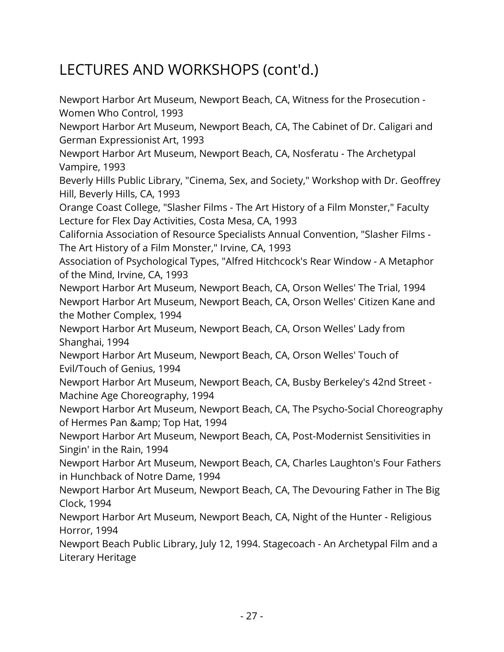Newport Harbor Art Museum, Newport Beach, CA, Witness for the Prosecution - Women Who Control, 1993 Newport Harbor Art Museum, Newport Beach, CA, The Cabinet of Dr. Caligari and German Expressionist Art, 1993 Newport Harbor Art Museum, Newport Beach, CA, Nosferatu - The Archetypal Vampire, 1993 Beverly Hills Public Library, "Cinema, Sex, and Society," Workshop with Dr. Geoffrey Hill, Beverly Hills, CA, 1993 Orange Coast College, "Slasher Films - The Art History of a Film Monster," Faculty Lecture for Flex Day Activities, Costa Mesa, CA, 1993 California Association of Resource Specialists Annual Convention, "Slasher Films - The Art History of a Film Monster," Irvine, CA, 1993 Association of Psychological Types, "Alfred Hitchcock's Rear Window - A Metaphor of the Mind, Irvine, CA, 1993 Newport Harbor Art Museum, Newport Beach, CA, Orson Welles' The Trial, 1994 Newport Harbor Art Museum, Newport Beach, CA, Orson Welles' Citizen Kane and the Mother Complex, 1994 Newport Harbor Art Museum, Newport Beach, CA, Orson Welles' Lady from Shanghai, 1994 Newport Harbor Art Museum, Newport Beach, CA, Orson Welles' Touch of Evil/Touch of Genius, 1994 Newport Harbor Art Museum, Newport Beach, CA, Busby Berkeley's 42nd Street - Machine Age Choreography, 1994 Newport Harbor Art Museum, Newport Beach, CA, The Psycho-Social Choreography of Hermes Pan & amp; Top Hat, 1994 Newport Harbor Art Museum, Newport Beach, CA, Post-Modernist Sensitivities in Singin' in the Rain, 1994 Newport Harbor Art Museum, Newport Beach, CA, Charles Laughton's Four Fathers in Hunchback of Notre Dame, 1994 Newport Harbor Art Museum, Newport Beach, CA, The Devouring Father in The Big Clock, 1994 Newport Harbor Art Museum, Newport Beach, CA, Night of the Hunter - Religious Horror, 1994 Newport Beach Public Library, July 12, 1994. Stagecoach - An Archetypal Film and a

Literary Heritage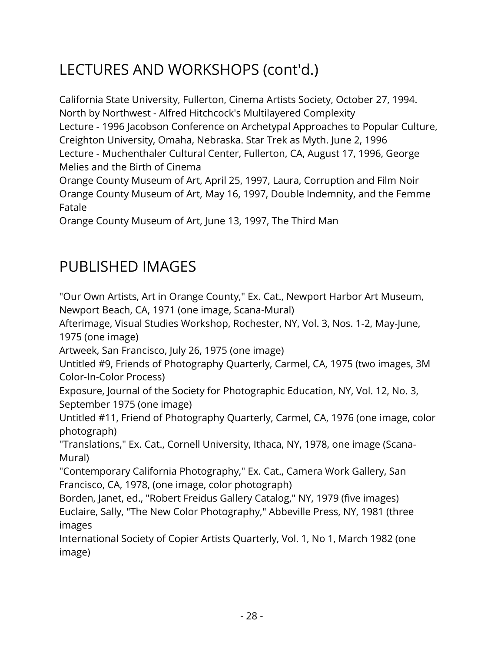California State University, Fullerton, Cinema Artists Society, October 27, 1994. North by Northwest - Alfred Hitchcock's Multilayered Complexity Lecture - 1996 Jacobson Conference on Archetypal Approaches to Popular Culture, Creighton University, Omaha, Nebraska. Star Trek as Myth. June 2, 1996 Lecture - Muchenthaler Cultural Center, Fullerton, CA, August 17, 1996, George Melies and the Birth of Cinema

Orange County Museum of Art, April 25, 1997, Laura, Corruption and Film Noir Orange County Museum of Art, May 16, 1997, Double Indemnity, and the Femme Fatale

Orange County Museum of Art, June 13, 1997, The Third Man

### PUBLISHED IMAGES

"Our Own Artists, Art in Orange County," Ex. Cat., Newport Harbor Art Museum, Newport Beach, CA, 1971 (one image, Scana-Mural)

Afterimage, Visual Studies Workshop, Rochester, NY, Vol. 3, Nos. 1-2, May-June, 1975 (one image)

Artweek, San Francisco, July 26, 1975 (one image)

Untitled #9, Friends of Photography Quarterly, Carmel, CA, 1975 (two images, 3M Color-In-Color Process)

Exposure, Journal of the Society for Photographic Education, NY, Vol. 12, No. 3, September 1975 (one image)

Untitled #11, Friend of Photography Quarterly, Carmel, CA, 1976 (one image, color photograph)

"Translations," Ex. Cat., Cornell University, Ithaca, NY, 1978, one image (Scana-Mural)

"Contemporary California Photography," Ex. Cat., Camera Work Gallery, San Francisco, CA, 1978, (one image, color photograph)

Borden, Janet, ed., "Robert Freidus Gallery Catalog," NY, 1979 (five images) Euclaire, Sally, "The New Color Photography," Abbeville Press, NY, 1981 (three images

International Society of Copier Artists Quarterly, Vol. 1, No 1, March 1982 (one image)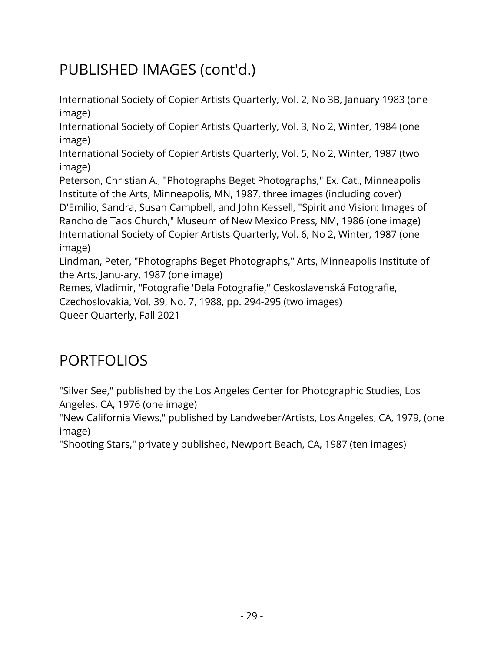# PUBLISHED IMAGES (cont'd.)

International Society of Copier Artists Quarterly, Vol. 2, No 3B, January 1983 (one image)

International Society of Copier Artists Quarterly, Vol. 3, No 2, Winter, 1984 (one image)

International Society of Copier Artists Quarterly, Vol. 5, No 2, Winter, 1987 (two image)

Peterson, Christian A., "Photographs Beget Photographs," Ex. Cat., Minneapolis Institute of the Arts, Minneapolis, MN, 1987, three images (including cover) D'Emilio, Sandra, Susan Campbell, and John Kessell, "Spirit and Vision: Images of Rancho de Taos Church," Museum of New Mexico Press, NM, 1986 (one image) International Society of Copier Artists Quarterly, Vol. 6, No 2, Winter, 1987 (one image)

Lindman, Peter, "Photographs Beget Photographs," Arts, Minneapolis Institute of the Arts, Janu-ary, 1987 (one image)

Remes, Vladimir, "Fotografie 'Dela Fotografie," Ceskoslavenská Fotografie, Czechoslovakia, Vol. 39, No. 7, 1988, pp. 294-295 (two images)

Queer Quarterly, Fall 2021

#### PORTFOLIOS

"Silver See," published by the Los Angeles Center for Photographic Studies, Los Angeles, CA, 1976 (one image)

"New California Views," published by Landweber/Artists, Los Angeles, CA, 1979, (one image)

"Shooting Stars," privately published, Newport Beach, CA, 1987 (ten images)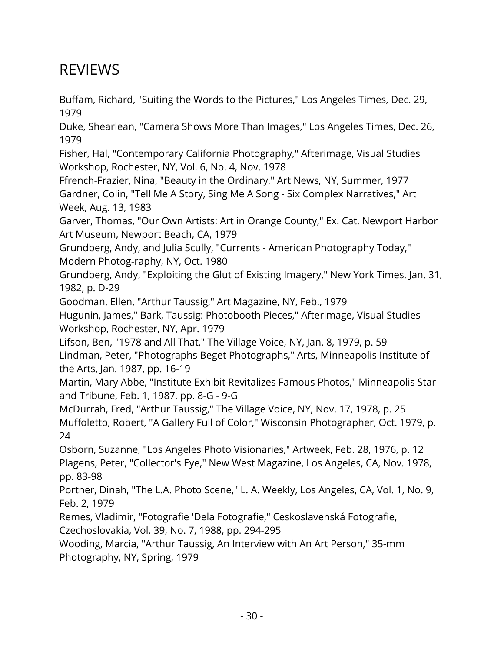#### REVIEWS

Buffam, Richard, "Suiting the Words to the Pictures," Los Angeles Times, Dec. 29, 1979

Duke, Shearlean, "Camera Shows More Than Images," Los Angeles Times, Dec. 26, 1979

Fisher, Hal, "Contemporary California Photography," Afterimage, Visual Studies Workshop, Rochester, NY, Vol. 6, No. 4, Nov. 1978

Ffrench-Frazier, Nina, "Beauty in the Ordinary," Art News, NY, Summer, 1977 Gardner, Colin, "Tell Me A Story, Sing Me A Song - Six Complex Narratives," Art Week, Aug. 13, 1983

Garver, Thomas, "Our Own Artists: Art in Orange County," Ex. Cat. Newport Harbor Art Museum, Newport Beach, CA, 1979

Grundberg, Andy, and Julia Scully, "Currents - American Photography Today," Modern Photog-raphy, NY, Oct. 1980

Grundberg, Andy, "Exploiting the Glut of Existing Imagery," New York Times, Jan. 31, 1982, p. D-29

Goodman, Ellen, "Arthur Taussig," Art Magazine, NY, Feb., 1979

Hugunin, James," Bark, Taussig: Photobooth Pieces," Afterimage, Visual Studies Workshop, Rochester, NY, Apr. 1979

Lifson, Ben, "1978 and All That," The Village Voice, NY, Jan. 8, 1979, p. 59 Lindman, Peter, "Photographs Beget Photographs," Arts, Minneapolis Institute of the Arts, Jan. 1987, pp. 16-19

Martin, Mary Abbe, "Institute Exhibit Revitalizes Famous Photos," Minneapolis Star and Tribune, Feb. 1, 1987, pp. 8-G - 9-G

McDurrah, Fred, "Arthur Taussig," The Village Voice, NY, Nov. 17, 1978, p. 25 Muffoletto, Robert, "A Gallery Full of Color," Wisconsin Photographer, Oct. 1979, p. 24

Osborn, Suzanne, "Los Angeles Photo Visionaries," Artweek, Feb. 28, 1976, p. 12 Plagens, Peter, "Collector's Eye," New West Magazine, Los Angeles, CA, Nov. 1978, pp. 83-98

Portner, Dinah, "The L.A. Photo Scene," L. A. Weekly, Los Angeles, CA, Vol. 1, No. 9, Feb. 2, 1979

Remes, Vladimir, "Fotografie 'Dela Fotografie," Ceskoslavenská Fotografie, Czechoslovakia, Vol. 39, No. 7, 1988, pp. 294-295

Wooding, Marcia, "Arthur Taussig, An Interview with An Art Person," 35-mm Photography, NY, Spring, 1979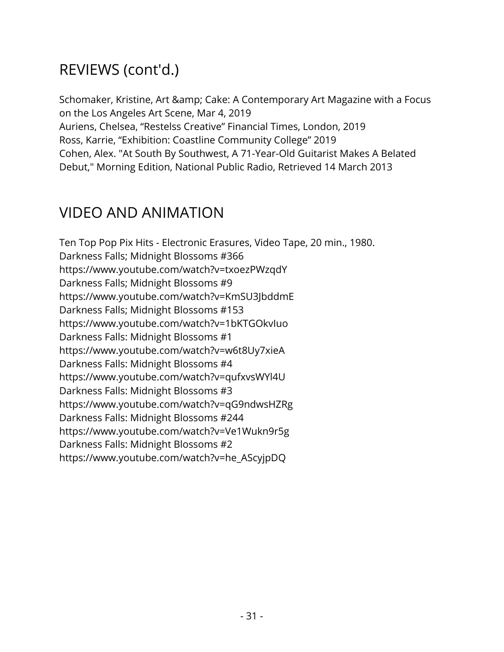## REVIEWS (cont'd.)

Schomaker, Kristine, Art & amp; Cake: A Contemporary Art Magazine with a Focus on the Los Angeles Art Scene, Mar 4, 2019 Auriens, Chelsea, "Restelss Creative" Financial Times, London, 2019 Ross, Karrie, "Exhibition: Coastline Community College" 2019 Cohen, Alex. "At South By Southwest, A 71-Year-Old Guitarist Makes A Belated Debut," Morning Edition, National Public Radio, Retrieved 14 March 2013

#### VIDEO AND ANIMATION

Ten Top Pop Pix Hits - Electronic Erasures, Video Tape, 20 min., 1980. Darkness Falls; Midnight Blossoms #366 https://www.youtube.com/watch?v=txoezPWzqdY Darkness Falls; Midnight Blossoms #9 https://www.youtube.com/watch?v=KmSU3JbddmE Darkness Falls; Midnight Blossoms #153 https://www.youtube.com/watch?v=1bKTGOkvIuo Darkness Falls: Midnight Blossoms #1 https://www.youtube.com/watch?v=w6t8Uy7xieA Darkness Falls: Midnight Blossoms #4 https://www.youtube.com/watch?v=qufxvsWYl4U Darkness Falls: Midnight Blossoms #3 https://www.youtube.com/watch?v=qG9ndwsHZRg Darkness Falls: Midnight Blossoms #244 https://www.youtube.com/watch?v=Ve1Wukn9r5g Darkness Falls: Midnight Blossoms #2 https://www.youtube.com/watch?v=he\_AScyjpDQ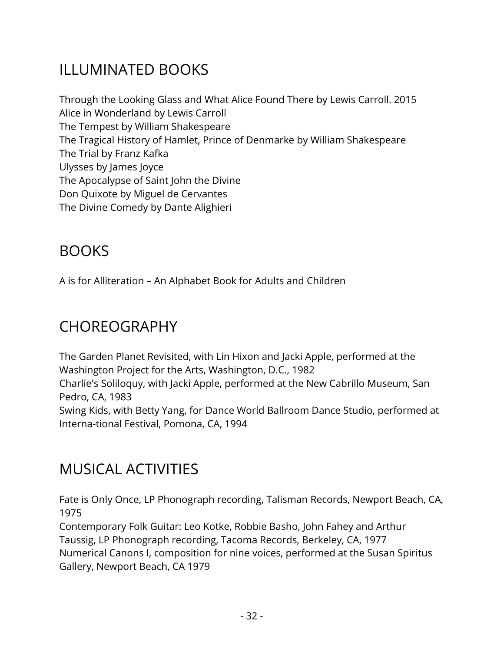## ILLUMINATED BOOKS

Through the Looking Glass and What Alice Found There by Lewis Carroll. 2015 Alice in Wonderland by Lewis Carroll The Tempest by William Shakespeare The Tragical History of Hamlet, Prince of Denmarke by William Shakespeare The Trial by Franz Kafka Ulysses by James Joyce The Apocalypse of Saint John the Divine Don Quixote by Miguel de Cervantes The Divine Comedy by Dante Alighieri

## BOOKS

A is for Alliteration – An Alphabet Book for Adults and Children

#### CHOREOGRAPHY

The Garden Planet Revisited, with Lin Hixon and Jacki Apple, performed at the Washington Project for the Arts, Washington, D.C., 1982 Charlie's Soliloquy, with Jacki Apple, performed at the New Cabrillo Museum, San Pedro, CA, 1983 Swing Kids, with Betty Yang, for Dance World Ballroom Dance Studio, performed at Interna-tional Festival, Pomona, CA, 1994

#### MUSICAL ACTIVITIES

Fate is Only Once, LP Phonograph recording, Talisman Records, Newport Beach, CA, 1975

Contemporary Folk Guitar: Leo Kotke, Robbie Basho, John Fahey and Arthur Taussig, LP Phonograph recording, Tacoma Records, Berkeley, CA, 1977 Numerical Canons I, composition for nine voices, performed at the Susan Spiritus Gallery, Newport Beach, CA 1979